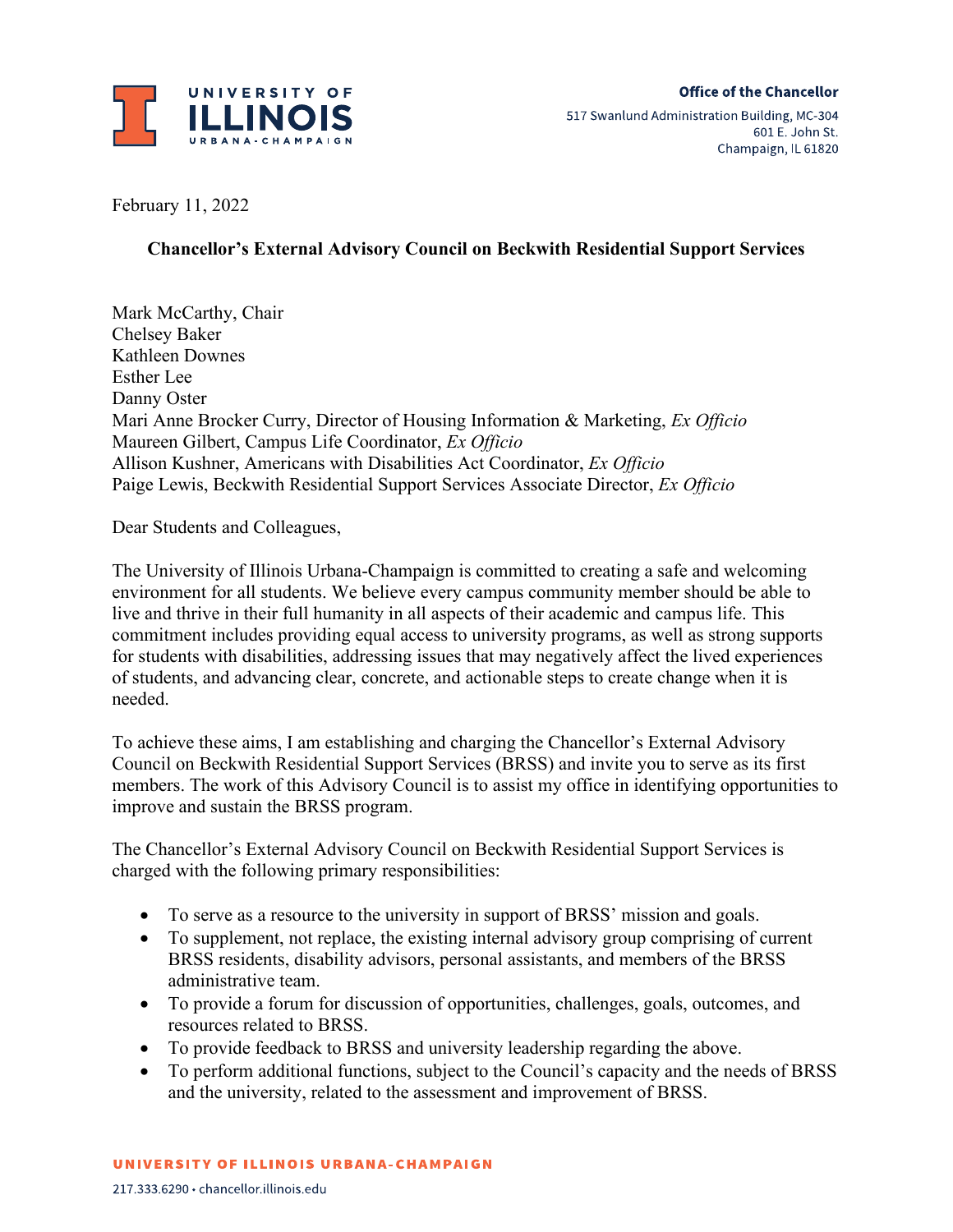

February 11, 2022

## **Chancellor's External Advisory Council on Beckwith Residential Support Services**

Mark McCarthy, Chair Chelsey Baker Kathleen Downes Esther Lee Danny Oster Mari Anne Brocker Curry, Director of Housing Information & Marketing, *Ex Officio* Maureen Gilbert, Campus Life Coordinator, *Ex Officio* Allison Kushner, Americans with Disabilities Act Coordinator, *Ex Officio* Paige Lewis, Beckwith Residential Support Services Associate Director, *Ex Officio*

Dear Students and Colleagues,

The University of Illinois Urbana-Champaign is committed to creating a safe and welcoming environment for all students. We believe every campus community member should be able to live and thrive in their full humanity in all aspects of their academic and campus life. This commitment includes providing equal access to university programs, as well as strong supports for students with disabilities, addressing issues that may negatively affect the lived experiences of students, and advancing clear, concrete, and actionable steps to create change when it is needed.

To achieve these aims, I am establishing and charging the Chancellor's External Advisory Council on Beckwith Residential Support Services (BRSS) and invite you to serve as its first members. The work of this Advisory Council is to assist my office in identifying opportunities to improve and sustain the BRSS program.

The Chancellor's External Advisory Council on Beckwith Residential Support Services is charged with the following primary responsibilities:

- To serve as a resource to the university in support of BRSS' mission and goals.
- To supplement, not replace, the existing internal advisory group comprising of current BRSS residents, disability advisors, personal assistants, and members of the BRSS administrative team.
- To provide a forum for discussion of opportunities, challenges, goals, outcomes, and resources related to BRSS.
- To provide feedback to BRSS and university leadership regarding the above.
- To perform additional functions, subject to the Council's capacity and the needs of BRSS and the university, related to the assessment and improvement of BRSS.